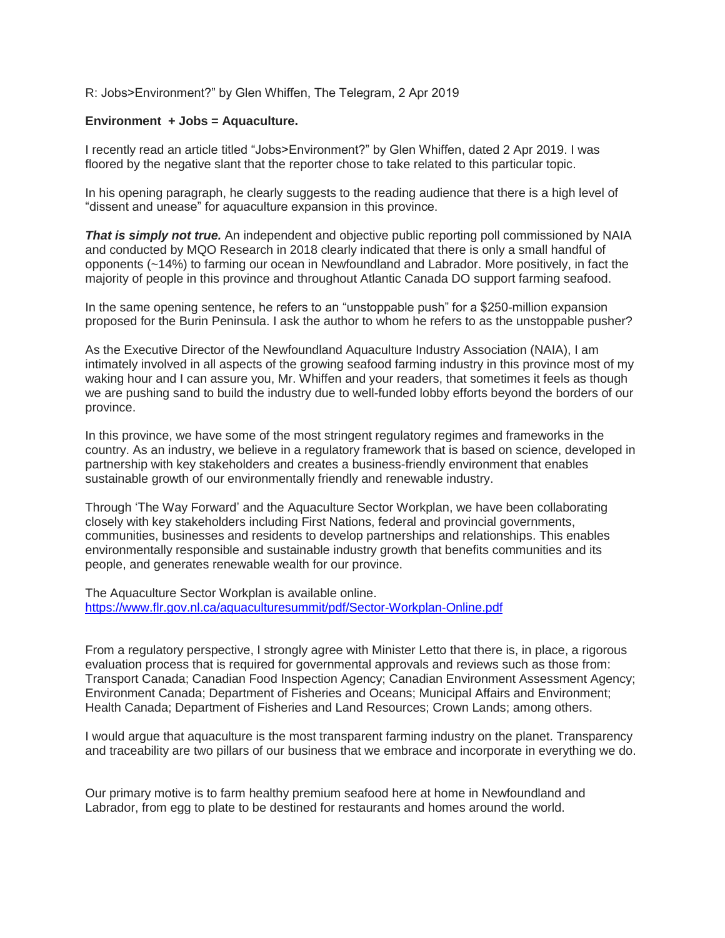## R: Jobs>Environment?" by Glen Whiffen, The Telegram, 2 Apr 2019

## **Environment + Jobs = Aquaculture.**

I recently read an article titled "Jobs>Environment?" by Glen Whiffen, dated 2 Apr 2019. I was floored by the negative slant that the reporter chose to take related to this particular topic.

In his opening paragraph, he clearly suggests to the reading audience that there is a high level of "dissent and unease" for aquaculture expansion in this province.

**That is simply not true.** An independent and objective public reporting poll commissioned by NAIA and conducted by MQO Research in 2018 clearly indicated that there is only a small handful of opponents (~14%) to farming our ocean in Newfoundland and Labrador. More positively, in fact the majority of people in this province and throughout Atlantic Canada DO support farming seafood.

In the same opening sentence, he refers to an "unstoppable push" for a \$250-million expansion proposed for the Burin Peninsula. I ask the author to whom he refers to as the unstoppable pusher?

As the Executive Director of the Newfoundland Aquaculture Industry Association (NAIA), I am intimately involved in all aspects of the growing seafood farming industry in this province most of my waking hour and I can assure you, Mr. Whiffen and your readers, that sometimes it feels as though we are pushing sand to build the industry due to well-funded lobby efforts beyond the borders of our province.

In this province, we have some of the most stringent regulatory regimes and frameworks in the country. As an industry, we believe in a regulatory framework that is based on science, developed in partnership with key stakeholders and creates a business-friendly environment that enables sustainable growth of our environmentally friendly and renewable industry.

Through 'The Way Forward' and the Aquaculture Sector Workplan, we have been collaborating closely with key stakeholders including First Nations, federal and provincial governments, communities, businesses and residents to develop partnerships and relationships. This enables environmentally responsible and sustainable industry growth that benefits communities and its people, and generates renewable wealth for our province.

The Aquaculture Sector Workplan is available online. <https://www.flr.gov.nl.ca/aquaculturesummit/pdf/Sector-Workplan-Online.pdf>

From a regulatory perspective, I strongly agree with Minister Letto that there is, in place, a rigorous evaluation process that is required for governmental approvals and reviews such as those from: Transport Canada; Canadian Food Inspection Agency; Canadian Environment Assessment Agency; Environment Canada; Department of Fisheries and Oceans; Municipal Affairs and Environment; Health Canada; Department of Fisheries and Land Resources; Crown Lands; among others.

I would argue that aquaculture is the most transparent farming industry on the planet. Transparency and traceability are two pillars of our business that we embrace and incorporate in everything we do.

Our primary motive is to farm healthy premium seafood here at home in Newfoundland and Labrador, from egg to plate to be destined for restaurants and homes around the world.